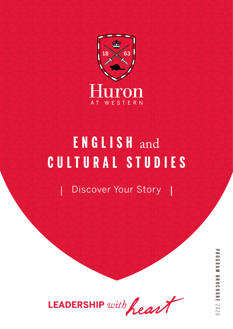

# **ENGLISH** and **CULTURAL STUDIES**

Discover Your Story



**PROGRAM BROCHUREPROGRAM BROCHURE 2020**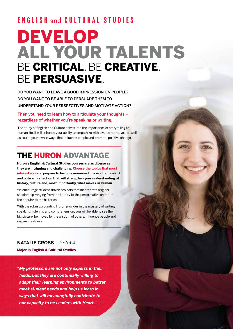### **ENGLISH** and **CULTURAL STUDIES**

## DEVELOP ALL YOUR TALENTS BE CRITICAL. BE CREATIVE. BE PERSUASIVE.

DO YOU WANT TO LEAVE A GOOD IMPRESSION ON PEOPLE? DO YOU WANT TO BE ABLE TO PERSUADE THEM TO UNDERSTAND YOUR PERSPECTIVES AND MOTIVATE ACTION?

Then you need to learn how to articulate your thoughts – regardless of whether you're speaking or writing.

The study of English and Culture delves into the importance of storytelling to human life. It will enhance your ability to empathize with diverse narratives, as well as sculpt your own in ways that influence people and promote positive change.

### THE HURON ADVANTAGE

**Huron's English & Cultural Studies courses are as diverse as they are intriguing and challenging. Choose the topics that most interest you and prepare to become immersed in a world of inward and outward reflection that will strengthen your understanding of history, culture and, most importantly, what makes us human.** 

We encourage student-driven projects that incorporate original scholarship ranging from the literary to the performative and from the popular to the historical.

With the robust grounding Huron provides in the mastery of writing, speaking, listening and comprehension, you will be able to see the big picture, be moved by the wisdom of others, influence people and inspire greatness.

### **NATALIE CROSS** | YEAR 4

**Major in English & Cultural Studies** 

*"My professors are not only experts in their fields, but they are continually willing to adapt their learning environments to better meet student needs and help us learn in ways that will meaningfully contribute to our capacity to be Leaders with Heart."*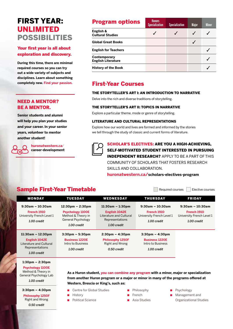### FIRST YEAR: UNLIMITED POSSIBILITIES

#### Your first year is all about exploration and discovery.

**During this time, there are minimal required courses so you can try out a wide variety of subjects and disciplines. Learn about something** 

#### NEED A MENTOR? BE A MENTOR.

**Senior students and alumni will help you plan your studies and your career. In your senior years, volunteer to mentor another student!** 



**huronatwestern.ca**/ **career-development**

| <b>Program options</b>                    | <b>Honors</b><br><b>Specialization</b> | <b>Specialization</b> | <b>Major</b> | <b>Minor</b> |
|-------------------------------------------|----------------------------------------|-----------------------|--------------|--------------|
| English &<br><b>Cultural Studies</b>      |                                        |                       |              |              |
| <b>Global Great Books</b>                 |                                        |                       |              |              |
| <b>English for Teachers</b>               |                                        |                       |              |              |
| Contemporary<br><b>English Literature</b> |                                        |                       |              |              |
| <b>History of the Book</b>                |                                        |                       |              |              |

### **completely new. Find your passion.** First-Year Courses

#### THE STORYTELLER'S ART I: AN INTRODUCTION TO NARRATIVE

Delve into the rich and diverse traditions of storytelling.

#### THE STORYTELLER'S ART II: TOPICS IN NARRATIVE

Explore a particular theme, mode or genre of storytelling.

#### LITERATURE AND CULTURAL REPRESENTATIONS

Explore how our world and lives are formed and informed by the stories we tell through the study of classic and current forms of literature.



#### SCHOLAR'S ELECTIVES: ARE YOU A HIGH-ACHIEVING, SELF-MOTIVATED STUDENT INTERESTED IN PURSUING INDEPENDENT RESEARCH? APPLY TO BE A PART OF THIS COMMUNITY OF SCHOLARS THAT FOSTERS RESEARCH SKILLS AND COLLABORATION.

**huronatwestern.ca/scholars-electives-program**

### Sample First-Year Timetable **Sample First-Year Timetable**

| <b>MONDAY</b>                                           | <b>TUESDAY</b>                                                                     | <b>WEDNESDAY</b>                                                           | <b>THURSDAY</b>                                         | <b>FRIDAY</b>                                           |
|---------------------------------------------------------|------------------------------------------------------------------------------------|----------------------------------------------------------------------------|---------------------------------------------------------|---------------------------------------------------------|
| $9:30am - 10:30am$                                      | $12:30 \text{pm} - 2:30 \text{pm}$                                                 | $11:30am - 1:30pm$                                                         | $9:30$ am - 10:30am                                     | $9:30am - 10:30am$                                      |
| French 1910<br>University French Level 1<br>1.00 credit | <b>Psychology 1100E</b><br>Method & Theory in<br>General Psychology<br>1.00 credit | English 1042E<br>Literature and Cultural<br>Representations<br>1.00 credit | French 1910<br>University French Level 1<br>1.00 credit | French 1910<br>University French Level 1<br>1.00 credit |
| $11:30am - 12:30pm$                                     | $3:30 \text{pm} - 5:30 \text{pm}$                                                  | $2:30 \text{pm} - 4:30 \text{pm}$                                          | $3:30 \text{pm} - 4:30 \text{pm}$                       |                                                         |
| English 1042E<br>Literature and Cultural                | <b>Business 1220E</b><br>Intro to Business                                         | <b>Philosophy 1250F</b><br>Right and Wrong                                 | <b>Business 1220E</b><br>Intro to Business              |                                                         |
| Representations<br>1.00 credit                          | 1.00 credit                                                                        | 0.50 credit                                                                | 1.00 credit                                             |                                                         |
| $1:30 \text{pm} - 2:30 \text{pm}$                       |                                                                                    |                                                                            |                                                         |                                                         |

**Psychology 1100E** Method & Theory in General Psychology Lab *1.00 credit*

**3:30pm – 4:30pm**

**Philosophy 1250F** Right and Wrong *0.50 credit*

Centre for Global Studies

**Western, Brescia or King's, such as:**

- **History**
- **Political Science**
- Philosophy
- French
- Asia Studies

**As a Huron student, you can combine any program with a minor, major or specialization from another Huron program or a major or minor in many of the programs offered at** 

- Psychology
- Management and Organizational Studies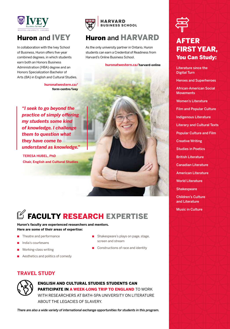

### Huron and IVEY

In collaboration with the Ivey School of Business, Huron offers five-year combined degrees, in which students earn both an Honors Business Administration (HBA) degree and an Honors Specialization Bachelor of Arts (BA) in English and Cultural Studies.

> **huronatwestern.ca/ form-centre/ivey**

*"I seek to go beyond the practice of simply offering my students some kind of knowledge. I challenge them to question what they have come to understand as knowledge."*

**TERESA HUBEL, PhD Chair, English and Cultural Studies**



### Huron and HARVARD

As the only university partner in Ontario, Huron students can earn a Credential of Readiness from Harvard's Online Business School.

#### **huronatwestern.ca/harvard-online**

 $\mathbb Z$  FACULTY RESEARCH EXPERTISE

**Huron's faculty are experienced researchers and mentors. Here are some of their areas of expertise:**

- Theatre and performance
- India's courtesans
- Working-class writing
- Aesthetics and politics of comedy
- Shakespeare's plays on page, stage, screen and stream
- Constructions of race and identity

#### **TRAVEL STUDY**



ENGLISH AND CULTURAL STUDIES STUDENTS CAN PARTICIPATE IN A WEEK-LONG TRIP TO ENGLAND TO WORK WITH RESEARCHERS AT BATH-SPA UNIVERSITY ON LITERATURE ABOUT THE LEGACIES OF SLAVERY.

*There are also a wide variety of international exchange opportunities for students in this program.*



### AFTER FIRST YEAR, You Can Study:

Literature since the Digital Turn

Heroes and Superheroes

African-American Social **Movements** 

Women's Literature

Film and Popular Culture

Indigenous Literature

Literary and Cultural Texts

Popular Culture and Film

Creative Writing

Studies in Poetics

British Literature

Canadian Literature

American Literature

World Literature

**Shakespeare** 

Children's Culture and Literature

Music in Culture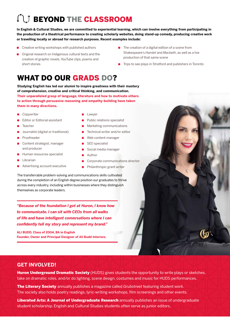## **COMPARE CLASSROOM**

**In English & Cultural Studies, we are committed to experiential learning, which can involve everything from participating in the production of a theatrical performance to creating scholarly websites, doing stand-up comedy, producing creative work or travelling locally or abroad for research purposes. Recent examples include:**

- Creative writing workshops with published authors
- Original research on Indigenous cultural texts and the creation of graphic novels, YouTube clips, poems and short stories
- The creation of a digital edition of a scene from Shakespeare's *Hamlet* and *Macbeth*, as well as a live production of that same scene
- Trips to see plays in Stratford and publishers in Toronto

### WHAT DO OUR GRADS DO?

**Studying English has led our alumni to inspire greatness with their mastery of comprehension, creative and critical thinking, and communication. Their unparalleled grasp of language, literature and how to motivate others to action through persuasive reasoning and empathy-building have taken them in many directions.** 

- **Copywriter**
- Editor or Editorial assistant
- **Teacher**
- Journalist (digital or traditional)
- Proofreader
- Content strategist, manager and producer
- Human resources specialist
- Librarian
- Advertising account executive
- **Lawyer**
- Public relations specialist
- Marketing communications
- Technical writer and/or editor
- Web content manager
- SEO specialist
- Social media manager
- **Author**
- Corporate communications director
- Philanthropic grant writer

The transferrable problem-solving and communications skills cultivated during the completion of an English degree position our graduates to thrive across every industry, including within businesses where they distinguish themselves as corporate leaders.

*"Because of the foundation I got at Huron, I know how to communicate. I can sit with CEOs from all walks of life and have intelligent conversations where I can confidently tell my story and represent my brand."* 

**ALI BUDD, Class of 2004, BA in English Founder, Owner and Principal Designer of Ali Budd Interiors.**

#### **GET INVOLVED!**

**Huron Underground Dramatic Society** (HUDS) gives students the opportunity to write plays or sketches, take on dramatic roles, and/or do lighting, scene design, costumes and music for HUDS performances.

The Literary Society annually publishes a magazine called *Grubstreet* featuring student work. The society also holds poetry readings, lyric-writing workshops, film screenings and other events.

Liberated Arts: A Journal of Undergraduate Research annually publishes an issue of undergraduate student scholarship. English and Cultural Studies students often serve as junior editors.